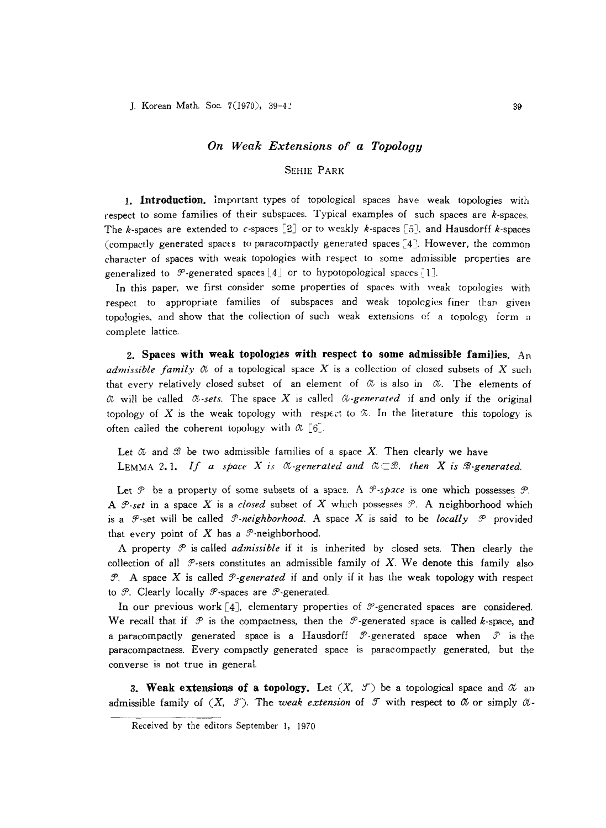## *On Weak Extensions of a Topology*

## SEHIE PARK

1. Introduction. Important types of topological spaces have weak topologies with respect to some families of their subspaces. Typical examples of such spaces are  $k$ -spaces. The k-spaces are extended to c-spaces  $[2]$  or to weakly k-spaces  $[5]$ . and Hausdorff k-spaces (compactly generated spacts to paracompactly generated spaces  $[4]$ . However, the common character of spaces with weak topologies with respect to some admissible properties are generalized to  $\mathcal{P}$ -generated spaces [4] or to hypotopological spaces [1].

In this paper, we first consider some properties of spaces with weak topologies with respect to appropriate families of subspaces and weak topologies finer than given topologies, and show that the collection of such weak extensions of a topology form a complete lattice.

2. Spaces with weak topologies with respect to some admissible families.  $A<sub>n</sub>$ *admissible family*  $\alpha$  of a topological space X is a collection of closed subsets of X such that every relatively closed subset of an element of  $\alpha$  is also in  $\alpha$ . The elements of  $\alpha$  will be called  $\alpha$ -sets. The space X is called  $\alpha$ -generated if and only if the original topology of X is the weak topology with respect to  $\alpha$ . In the literature this topology is often called the coherent topology with  $\alpha$  [6].

Let  $\alpha$  and  $\beta$  be two admissible families of a space X. Then clearly we have **LEMMA 2.1.** If a space X is  $\emptyset$ -generated and  $\emptyset \subset \mathcal{B}$ , then X is  $\emptyset$ -generated.

Let  $\mathcal P$  be a property of some subsets of a space. A  $\mathcal P$ -space is one which possesses  $\mathcal P$ . A  $\mathcal{P}\text{-}set$  in a space X is a *closed* subset of X which possesses  $\mathcal{P}\text{-}$ . A neighborhood which is a  $\mathcal{P}$ -set will be called  $\mathcal{P}$ -neighborhood. A space X is said to be *locally*  $\mathcal{P}$  provided that every point of X has a  $\mathcal{P}$ -neighborhood.

A property  $\mathcal P$  is called *admissible* if it is inherited by closed sets. Then clearly the collection of all  $\mathcal{P}$ -sets constitutes an admissible family of X. We denote this family also  $\mathcal{P}$ . A space *X* is called  $\mathcal{P}$ -generated if and only if it has the weak topology with respect to  $\mathcal{P}$ . Clearly locally  $\mathcal{P}$ -spaces are  $\mathcal{P}$ -generated.

In our previous work  $[4]$ , elementary properties of  $\mathcal{P}$ -generated spaces are considered. We recall that if  $\mathcal P$  is the compactness, then the  $\mathcal P$ -generated space is called k-space, and a paracompactly generated space is a Hausdorff  $\mathcal{P}$ -generated space when  $\mathcal{P}$  is the paracompactness. Every compactly generated space is paracompactly generated, but the converse is not true in general.

3. Weak extensions of a topology. Let  $(X, \mathcal{F})$  be a topological space and  $\alpha$  and admissible family of  $(X, \mathcal{T})$ . The *weak extension* of  $\mathcal{T}$  with respect to  $\mathcal{U}$  or simply  $\mathcal{U}$ -

Received by the editors September 1, 1970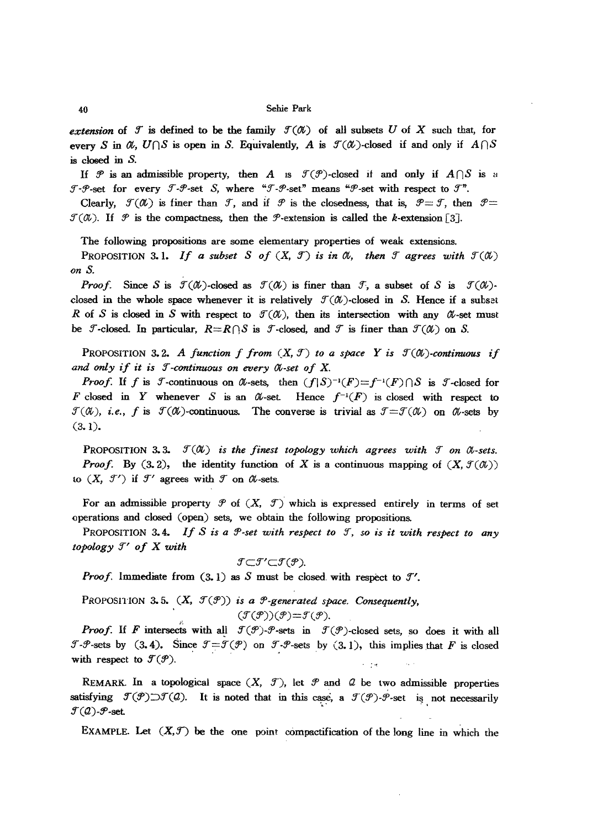*extension* of *f* is defined to be the family  $f(\alpha)$  of all subsets *U* of X such that, for every *S* in  $\alpha$ ,  $U \cap S$  is open in *S.* Equivalently, *A* is  $\mathcal{T}(\alpha)$ -closed if and only if  $A \cap S$ is closed in *S.*

If  $\mathcal P$  is an admissible property, then A is  $\mathcal T(\mathcal P)$ -closed if and only if  $A \cap S$  is a  $f - \mathcal{P}$ -set for every  $\mathcal{F}-\mathcal{P}$ -set *S*, where " $\mathcal{F}-\mathcal{P}$ -set" means " $\mathcal{P}$ -set with respect to  $\mathcal{F}$ ".

Clearly,  $f(\mathcal{U})$  is finer than *f*, and if *P* is the closedness, that is,  $\mathcal{P} = \mathcal{F}$ , then  $\mathcal{P} =$  $f(\mathcal{X})$ . If  $\mathcal P$  is the compactness, then the  $\mathcal P$ -extension is called the k-extension [3].

The following propositions are some elementary properties of weak extensions.

PROPOSITION 3.1. *If a subset S of*  $(X, \mathcal{T})$  *is in*  $\mathcal{O}$ *t, then f agrees with*  $\mathcal{T}(\mathcal{O}x)$ *on S.*

*Proof.* Since *S* is  $\mathcal{T}(\mathcal{X})$ -closed as  $\mathcal{T}(\mathcal{X})$  is finer than  $\mathcal{T}_2$ , a subset of *S* is  $\mathcal{T}(\mathcal{X})$ closed in the whole space whenever it is relatively  $\mathcal{T}(\alpha)$ -closed in S. Hence if a subset *R* of *S* is closed in *S* with respect to  $\mathcal{T}(\mathcal{U})$ , then its intersection with any  $\mathcal{U}$ -set must be *T*-closed. In particular,  $R=R\cap S$  is *T*-closed, and *T* is finer than  $\mathcal{T}(\mathcal{U})$  on *S*.

PROPOSITION 3.2. A *function*  $f$  *from*  $(X, \mathcal{T})$  *to a space*  $Y$  *is*  $\mathcal{T}(\mathcal{U})$ -continuous *if and only* if it is *J*-continuous on every  $\alpha$ -set of X.

*Proof.* If *f* is  $\mathcal{F}$ -continuous on  $\mathcal{U}$ -sets, then  $(f|S)^{-1}(F)=f^{-1}(F)\cap S$  is  $\mathcal{F}$ -closed for F closed in Y whenever S is an  $\alpha$ -set. Hence  $f^{-1}(F)$  is closed with respect to  $\mathcal{F}(\mathcal{X})$ , *i.e.*, *f* is  $\mathcal{F}(\mathcal{X})$ -continuous. The converse is trivial as  $\mathcal{F} = \mathcal{F}(\mathcal{X})$  on  $\mathcal{X}$ -sets by (3.1).

PROPOSITION 3.3.  $\mathcal{T}(\mathcal{U})$  *is the finest topology which agrees with*  $\mathcal{T}$  *on*  $\mathcal{U}$ -sets. *Proof.* By (3.2), the identity function of X is a continuous mapping of  $(X, \mathcal{F}(\alpha))$ to  $(X, \mathcal{T}')$  if  $\mathcal{T}'$  agrees with  $\mathcal{T}$  on  $\mathcal{U}$ -sets.

For an admissible property  $\mathcal P$  of  $(X, \mathcal T)$  which is expressed entirely in terms of set operations and closed (open) sets, we obtain the following propositions.

PROPOSITION 3.4. *If <sup>S</sup> is <sup>a</sup> 9'·set with respect to* 9"", *so is it with respect to any topology*  $J'$  *of* X with

$$
\mathcal{I}{\subset}\mathcal{I}'{\subset}\mathcal{I}(\mathcal{P}).
$$

*Proof.* Immediate from  $(3.1)$  as *S* must be closed with respect to  $\mathcal{I}'$ .

PROPOSITION 3.5.  $(X, \mathcal{T}(\mathcal{P}))$  *is a*  $\mathcal{P}$ *-generated space. Consequently,*  $(\mathcal{J}(\mathcal{P}))(\mathcal{P}) = \mathcal{J}(\mathcal{P}).$ 

*Proof.* If *F* intersects with all  $f(\mathcal{P})$ - $\mathcal{P}$ -sets in  $f(\mathcal{P})$ -closed sets, so does it with all *I-9*-sets by (3.4). Since  $\mathcal{I} = \mathcal{I}(\mathcal{P})$  on *J-9*-sets by (3.1), this implies that *F* is closed with respect to  $\mathcal{T}(\mathcal{P})$ .

REMARK. In a topological space  $(X, \mathcal{T})$ , let  $\mathcal{P}$  and  $\mathcal{Q}$  be two admissible properties satisfying  $\mathcal{F}(\mathcal{P}) \supset \mathcal{F}(Q)$ . It is noted that in this case, a  $\mathcal{F}(\mathcal{P})$ - $\mathcal{P}$ -set is not necessarily *I*-*P*-sets by (3.4). Since  $\mathcal{T} = \mathcal{T}(\mathcal{P})$  on  $\mathcal{T} \cdot \mathcal{P}$ -sets by (3.1), this implies t<br>with respect to  $\mathcal{T}(\mathcal{P})$ .<br>REMARK. In a topological space  $(X, \mathcal{T})$ , let  $\mathcal{P}$  and  $\mathcal{Q}$  be two admiss<br>satisfying

EXAMPLE. Let  $(X, \mathcal{T})$  be the one point compactification of the long line in which the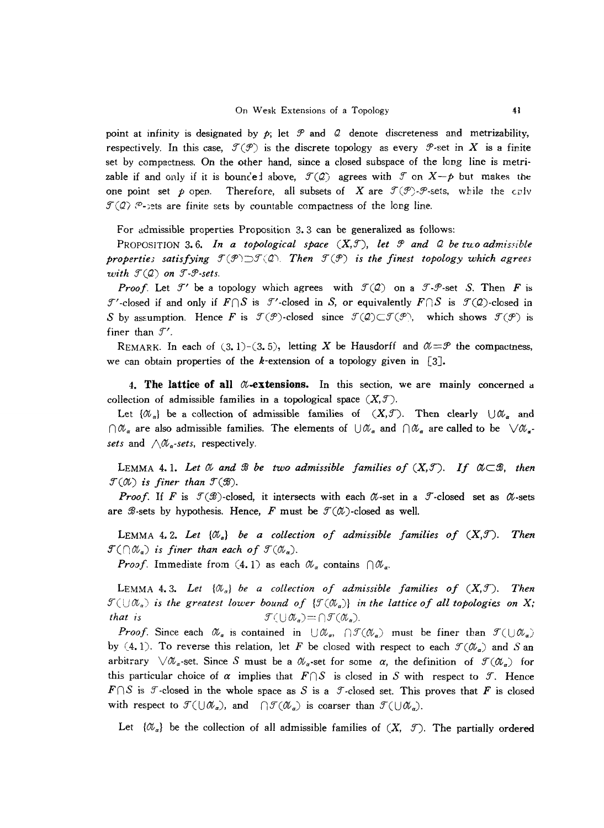point at infinity is designated by  $p$ ; let  $\mathcal P$  and  $\mathcal Q$  denote discreteness and metrizability, respectively. In this case,  $\mathcal{T}(\mathcal{P})$  is the discrete topology as every  $\mathcal{P}$ -set in *X* is a finite set by compactness. On the other hand, since a closed subspace of the long line is metrizable if and only if it is bounced above,  $\mathcal{T}(\mathcal{Q})$  agrees with  $\mathcal{T}$  on  $X-p$  but makes the one point set  $p$  open. Therefore, all subsets of X are  $f(\mathcal{P})$ - $\mathcal{P}$ -sets, while the culv  $\mathcal{F}(\mathcal{Q})$   $\mathcal{P}$ -jets are finite sets by countable compactness of the long line.

For admissible properties Proposition 3.3 can be generalized as follows:

PROPOSITION 3.6. In a topological space  $(X,\mathcal{F})$ , let  $\mathcal{P}$  and  $\mathcal{Q}$  be two admissible *propertie; satisfying*  $T(\mathcal{P}) \supset T(\mathcal{Q})$ . Then  $T(\mathcal{P})$  *is the finest topology which agrees with*  $\mathcal{T}(\mathcal{Q})$  on  $\mathcal{T}\text{-}\mathcal{P}\text{-}sets$ .

*Proof.* Let  $\mathcal{T}'$  be a topology which agrees with  $\mathcal{T}(\mathcal{Q})$  on a  $\mathcal{T}\text{-}\mathcal{P}\text{-set}$  *S.* Then  $F$  is  $\mathcal{T}'$ -closed if and only if  $F \cap S$  is  $\mathcal{T}'$ -closed in *S*, or equivalently  $F \cap S$  is  $\mathcal{T}(Q)$ -closed in *S* by assumption. Hence *F* is  $\mathcal{I}(\mathcal{P})$ -closed since  $\mathcal{I}(\mathcal{Q}) \subset \mathcal{I}(\mathcal{P})$ , which shows  $\mathcal{I}(\mathcal{P})$  is finer than  $\mathcal{I}'$ .

REMARK. In each of (3.1)-(3.5), letting X be Hausdorff and  $\alpha = \mathcal{P}$  the compactness, we can obtain properties of the k-extension of a topology given in [3].

4. The lattice of all  $\alpha$ -extensions. In this section, we are mainly concerned a collection of admissible families in a topological space  $(X, \mathcal{T})$ .

Let  $\{\mathscr{U}_a\}$  be a collection of admissible families of  $(X,\mathcal{J})$ . Then clearly  $\bigcup \mathscr{U}_a$  and  $\bigcap \mathcal{U}_\alpha$  are also admissible families. The elements of  $\bigcup \mathcal{U}_\alpha$  and  $\bigcap \mathcal{U}_\alpha$  are called to be  $\bigvee \mathcal{U}_\alpha$ . *sets* and  $\bigwedge \mathcal{U}_{\alpha}$ -sets, respectively.

LEMMA 4.1. Let  $\emptyset$  and  $\emptyset$  be two admissible families of  $(X,\mathcal{T})$ . If  $\emptyset \subset \mathcal{B}$ , then  $\mathcal{T}(\mathcal{O}U)$  *is finer than*  $\mathcal{T}(\mathcal{B})$ .

*Proof.* If *F* is  $\mathcal{T}(\mathcal{B})$ -closed, it intersects with each  $\alpha$ -set in a  $\mathcal{T}$ -closed set as  $\alpha$ -sets are  $\mathscr{B}$ -sets by hypothesis. Hence, F must be  $\mathscr{T}(\mathscr{U})$ -closed as well.

LEMMA 4.2. Let  $\{\mathcal{O}_a\}$  be a collection of admissible families of  $(X,\mathcal{F})$ . Then  $\mathcal{F}(\bigcap \mathcal{O}_{\alpha})$  *is finer than each of*  $\mathcal{F}(\mathcal{O}_{\alpha})$ .

*Proof.* Immediate from (4.1) as each  $\mathcal{U}_a$  contains  $\bigcap \mathcal{U}_a$ .

LEMMA 4.3. Let  $\{\mathcal{O}_\alpha\}$  be a collection of admissible families of  $(X,\mathcal{F})$ . Then  $\mathcal{F}(\cup\mathcal{A}_a)$  is the greatest lower bound of  $\{\mathcal{F}(\mathcal{A}_a)\}\$  in the lattice of all topologies on X; *that* is  $\mathcal{T}(\bigcup \mathcal{X}_{\alpha}) = \bigcap \mathcal{T}(\mathcal{X}_{\alpha}).$ 

*Proof.* Since each  $\mathcal{U}_\alpha$  is contained in  $\bigcup \mathcal{U}_\alpha$ ,  $\bigcap \mathcal{I}(\mathcal{U}_\alpha)$  must be finer than  $\mathcal{I}(\bigcup \mathcal{U}_\alpha)$ by (4.1). To reverse this relation, let F be closed with respect to each  $\mathcal{F}(\mathcal{U}_a)$  and *S* and arbitrary  $\sqrt{\alpha_s}$ -set. Since S must be a  $\alpha_s$ -set for some  $\alpha$ , the definition of  $\mathcal{T}(\alpha_s)$  for this particular choice of  $\alpha$  implies that  $F \cap S$  is closed in *S* with respect to *T*. Hence  $F \cap S$  is  $\mathcal{F}$ -closed in the whole space as *S* is a  $\mathcal{F}$ -closed set. This proves that *F* is closed with respect to  $\mathcal{T}(\cup \mathcal{X}_{\alpha})$ , and  $\bigcap \mathcal{T}(\mathcal{X}_{\alpha})$  is coarser than  $\mathcal{T}(\cup \mathcal{X}_{\alpha})$ .

Let  $\{\mathscr{X}_a\}$  be the collection of all admissible families of  $(X, \mathscr{T})$ . The partially ordered